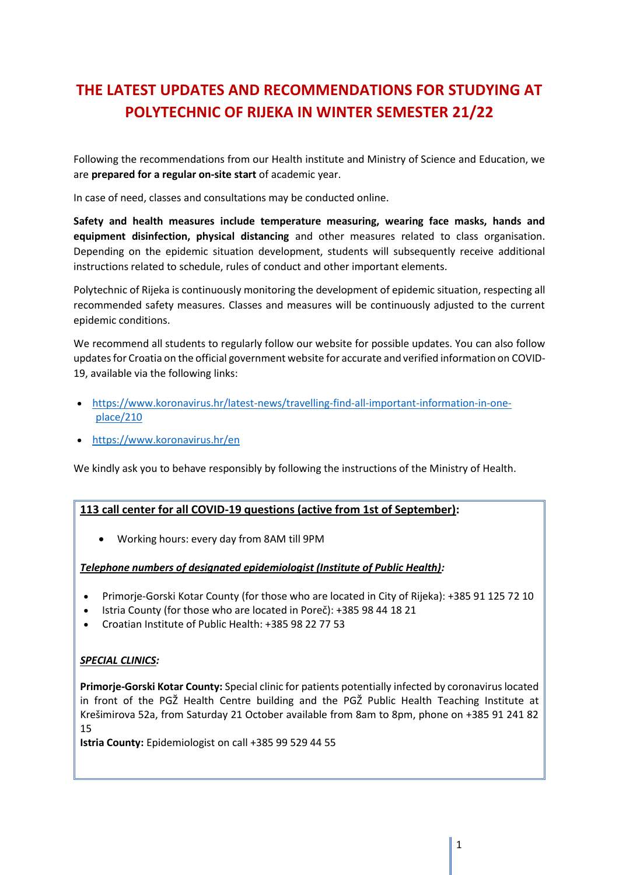# **THE LATEST UPDATES AND RECOMMENDATIONS FOR STUDYING AT POLYTECHNIC OF RIJEKA IN WINTER SEMESTER 21/22**

Following the recommendations from our Health institute and Ministry of Science and Education, we are **prepared for a regular on-site start** of academic year.

In case of need, classes and consultations may be conducted online.

**Safety and health measures include temperature measuring, wearing face masks, hands and equipment disinfection, physical distancing** and other measures related to class organisation. Depending on the epidemic situation development, students will subsequently receive additional instructions related to schedule, rules of conduct and other important elements.

Polytechnic of Rijeka is continuously monitoring the development of epidemic situation, respecting all recommended safety measures. Classes and measures will be continuously adjusted to the current epidemic conditions.

We recommend all students to regularly follow our website for possible updates. You can also follow updates for Croatia on the official government website for accurate and verified information on COVID-19, available via the following links:

- [https://www.koronavirus.hr/latest-news/travelling-find-all-important-information-in-one](https://www.koronavirus.hr/latest-news/travelling-find-all-important-information-in-one-place/210)[place/210](https://www.koronavirus.hr/latest-news/travelling-find-all-important-information-in-one-place/210)
- <https://www.koronavirus.hr/en>

We kindly ask you to behave responsibly by following the instructions of the Ministry of Health.

## **113 call center for all COVID-19 questions (active from 1st of September):**

• Working hours: every day from 8AM till 9PM

#### *Telephone numbers of designated epidemiologist (Institute of Public Health):*

- Primorje-Gorski Kotar County (for those who are located in City of Rijeka): +385 91 125 72 10
- Istria County (for those who are located in Poreč): +385 98 44 18 21
- Croatian Institute of Public Health: +385 98 22 77 53

## *SPECIAL CLINICS:*

**Primorje-Gorski Kotar County:** Special clinic for patients potentially infected by coronavirus located in front of the PGŽ Health Centre building and the PGŽ Public Health Teaching Institute at Krešimirova 52a, from Saturday 21 October available from 8am to 8pm, phone on +385 91 241 82 15

**Istria County:** Epidemiologist on call +385 99 529 44 55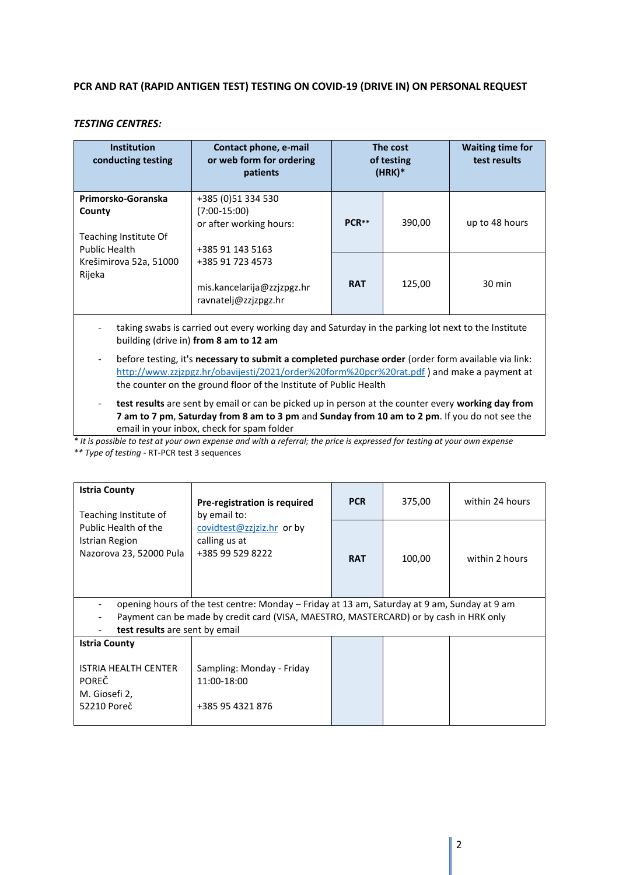#### **PCR AND RAT (RAPID ANTIGEN TEST) TESTING ON COVID-19 (DRIVE IN) ON PERSONAL REQUEST**

#### *TESTING CENTRES:*

| <b>Institution</b><br>conducting testing | Contact phone, e-mail<br>or web form for ordering<br>patients | The cost<br>of testing<br>$(HRK)*$ |        | <b>Waiting time for</b><br>test results |
|------------------------------------------|---------------------------------------------------------------|------------------------------------|--------|-----------------------------------------|
| Primorsko-Goranska                       | +385 (0)51 334 530                                            |                                    |        |                                         |
| County                                   | $(7:00-15:00)$                                                |                                    |        |                                         |
|                                          | or after working hours:                                       | PCR <sup>**</sup>                  | 390,00 | up to 48 hours                          |
| Teaching Institute Of                    |                                                               |                                    |        |                                         |
| Public Health                            | +385 91 143 5163                                              |                                    |        |                                         |
| Krešimirova 52a, 51000                   | +385 91 723 4573                                              |                                    |        |                                         |
| Rijeka                                   |                                                               |                                    |        |                                         |
|                                          | mis.kancelarija@zzjzpgz.hr                                    | <b>RAT</b>                         | 125.00 | $30 \text{ min}$                        |
|                                          | ravnatelj@zzjzpgz.hr                                          |                                    |        |                                         |

- taking swabs is carried out every working day and Saturday in the parking lot next to the Institute building (drive in) **from 8 am to 12 am**
- before testing, it's **necessary to submit a completed purchase order** (order form available via link: <http://www.zzjzpgz.hr/obavijesti/2021/order%20form%20pcr%20rat.pdf> ) and make a payment at the counter on the ground floor of the Institute of Public Health
- **test results** are sent by email or can be picked up in person at the counter every **working day from 7 am to 7 pm**, **Saturday from 8 am to 3 pm** and **Sunday from 10 am to 2 pm**. If you do not see the email in your inbox, check for spam folder
- *\* It is possible to test at your own expense and with a referral; the price is expressed for testing at your own expense*
- *\*\* Type of testing -* RT-PCR test 3 sequences

| <b>Istria County</b><br>Teaching Institute of<br>Public Health of the<br>Istrian Region<br>Nazorova 23, 52000 Pula      | Pre-registration is required<br>by email to:<br>covidtest@zzjziz.hr or by<br>calling us at<br>+385 99 529 8222 | <b>PCR</b> | 375,00 | within 24 hours |  |  |
|-------------------------------------------------------------------------------------------------------------------------|----------------------------------------------------------------------------------------------------------------|------------|--------|-----------------|--|--|
|                                                                                                                         |                                                                                                                | <b>RAT</b> | 100,00 | within 2 hours  |  |  |
| opening hours of the test centre: Monday – Friday at 13 am, Saturday at 9 am, Sunday at 9 am                            |                                                                                                                |            |        |                 |  |  |
| Payment can be made by credit card (VISA, MAESTRO, MASTERCARD) or by cash in HRK only<br>test results are sent by email |                                                                                                                |            |        |                 |  |  |
| <b>Istria County</b>                                                                                                    |                                                                                                                |            |        |                 |  |  |
| <b>ISTRIA HEALTH CENTER</b><br><b>POREČ</b><br>M. Giosefi 2,<br>52210 Poreč                                             | Sampling: Monday - Friday<br>11:00-18:00<br>+385 95 4321 876                                                   |            |        |                 |  |  |